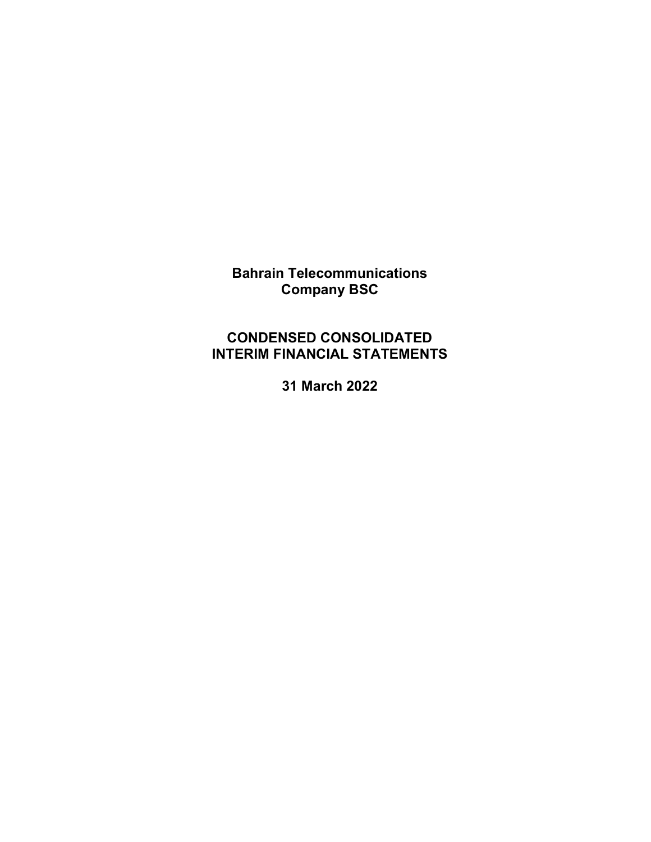Bahrain Telecommunications Company BSC

# CONDENSED CONSOLIDATED INTERIM FINANCIAL STATEMENTS

31 March 2022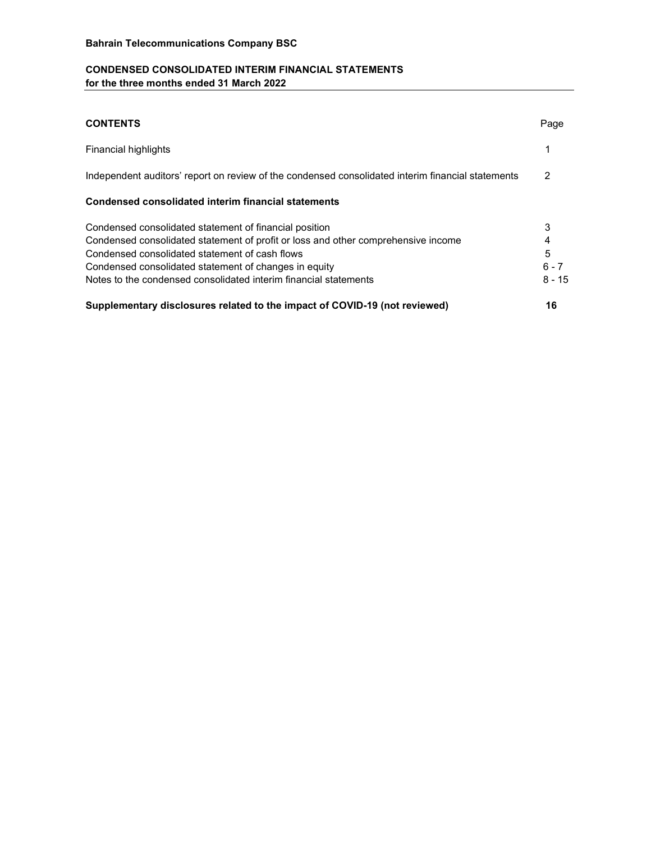## CONDENSED CONSOLIDATED INTERIM FINANCIAL STATEMENTS for the three months ended 31 March 2022

| <b>CONTENTS</b>                                                                                                                                                                                                                                                                                                            | Page                               |
|----------------------------------------------------------------------------------------------------------------------------------------------------------------------------------------------------------------------------------------------------------------------------------------------------------------------------|------------------------------------|
| Financial highlights                                                                                                                                                                                                                                                                                                       |                                    |
| Independent auditors' report on review of the condensed consolidated interim financial statements                                                                                                                                                                                                                          | 2                                  |
| Condensed consolidated interim financial statements                                                                                                                                                                                                                                                                        |                                    |
| Condensed consolidated statement of financial position<br>Condensed consolidated statement of profit or loss and other comprehensive income<br>Condensed consolidated statement of cash flows<br>Condensed consolidated statement of changes in equity<br>Notes to the condensed consolidated interim financial statements | 3<br>4<br>5<br>$6 - 7$<br>$8 - 15$ |
| Supplementary disclosures related to the impact of COVID-19 (not reviewed)                                                                                                                                                                                                                                                 | 16                                 |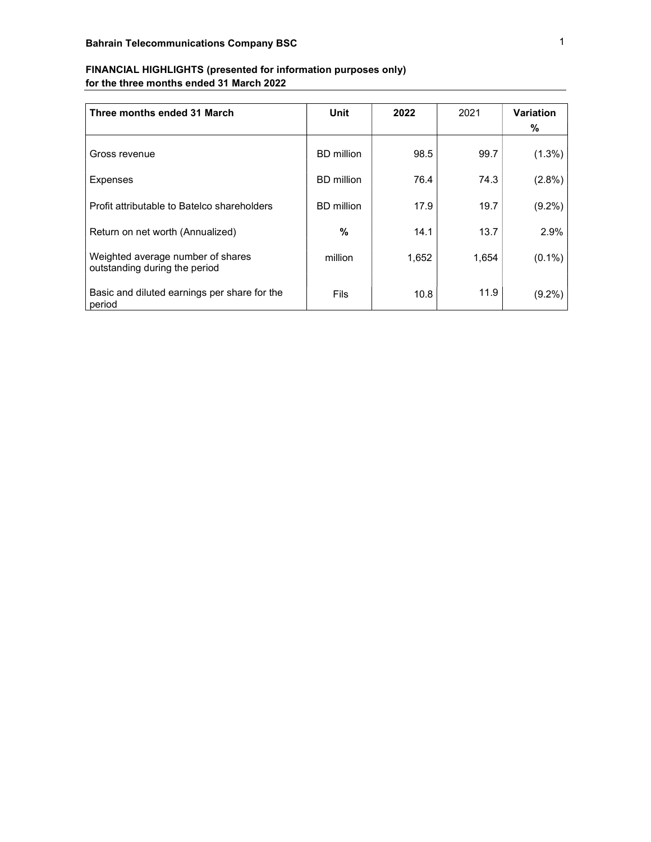| FINANCIAL HIGHLIGHTS (presented for information purposes only) |  |
|----------------------------------------------------------------|--|
| for the three months ended 31 March 2022                       |  |

| Three months ended 31 March                                        | Unit              | 2022  | 2021  | <b>Variation</b><br>℅ |
|--------------------------------------------------------------------|-------------------|-------|-------|-----------------------|
| Gross revenue                                                      | <b>BD</b> million | 98.5  | 99.7  | $(1.3\%)$             |
| Expenses                                                           | <b>BD</b> million | 76.4  | 74.3  | (2.8%)                |
| Profit attributable to Batelco shareholders                        | <b>BD</b> million | 17.9  | 19.7  | $(9.2\%)$             |
| Return on net worth (Annualized)                                   | %                 | 14.1  | 13.7  | 2.9%                  |
| Weighted average number of shares<br>outstanding during the period | million           | 1,652 | 1,654 | $(0.1\%)$             |
| Basic and diluted earnings per share for the<br>period             | Fils              | 10.8  | 11.9  | $(9.2\%)$             |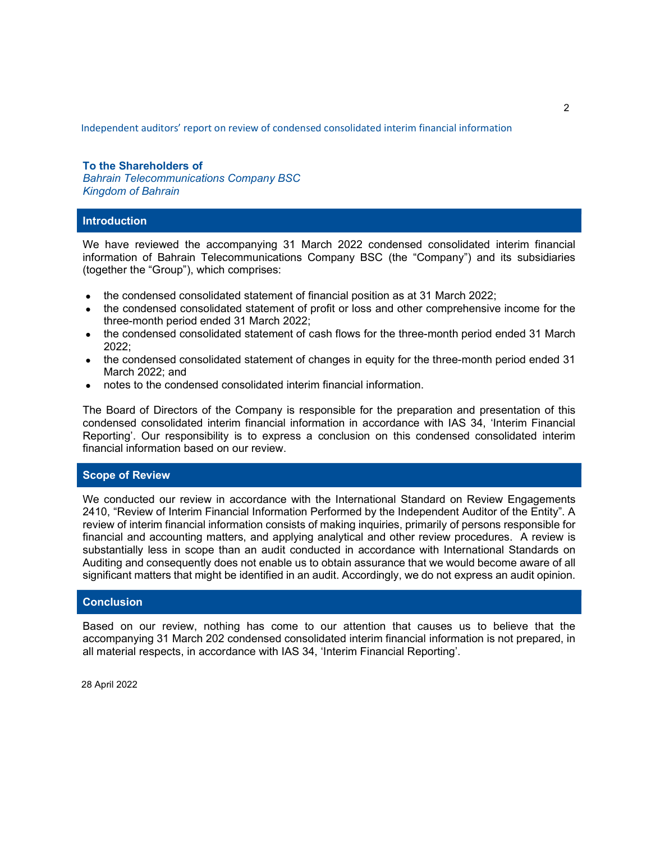Independent auditors' report on review of condensed consolidated interim financial information

## To the Shareholders of Bahrain Telecommunications Company BSC Kingdom of Bahrain

## Introduction

We have reviewed the accompanying 31 March 2022 condensed consolidated interim financial information of Bahrain Telecommunications Company BSC (the "Company") and its subsidiaries (together the "Group"), which comprises:

- the condensed consolidated statement of financial position as at 31 March 2022;
- the condensed consolidated statement of profit or loss and other comprehensive income for the three-month period ended 31 March 2022;
- the condensed consolidated statement of cash flows for the three-month period ended 31 March 2022;
- the condensed consolidated statement of changes in equity for the three-month period ended 31 March 2022; and
- notes to the condensed consolidated interim financial information.

The Board of Directors of the Company is responsible for the preparation and presentation of this condensed consolidated interim financial information in accordance with IAS 34, 'Interim Financial Reporting'. Our responsibility is to express a conclusion on this condensed consolidated interim financial information based on our review.

## Scope of Review

We conducted our review in accordance with the International Standard on Review Engagements 2410, "Review of Interim Financial Information Performed by the Independent Auditor of the Entity". A review of interim financial information consists of making inquiries, primarily of persons responsible for financial and accounting matters, and applying analytical and other review procedures. A review is substantially less in scope than an audit conducted in accordance with International Standards on Auditing and consequently does not enable us to obtain assurance that we would become aware of all significant matters that might be identified in an audit. Accordingly, we do not express an audit opinion.

## **Conclusion**

Based on our review, nothing has come to our attention that causes us to believe that the accompanying 31 March 202 condensed consolidated interim financial information is not prepared, in all material respects, in accordance with IAS 34, 'Interim Financial Reporting'.

28 April 2022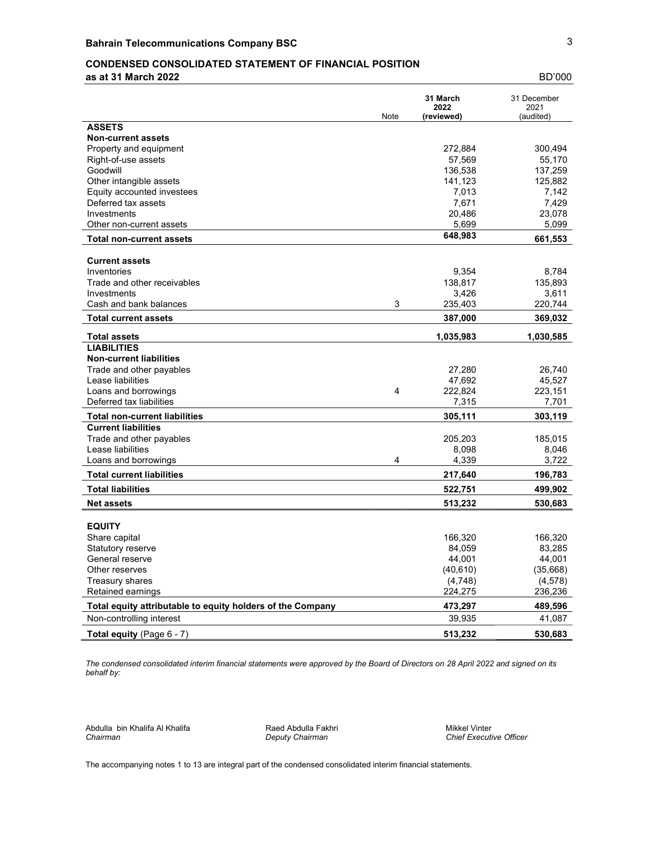## CONDENSED CONSOLIDATED STATEMENT OF FINANCIAL POSITION

as at 31 March 2022 BD'000

|                                                            | Note | 31 March<br>2022<br>(reviewed) | 31 December<br>2021<br>(audited) |
|------------------------------------------------------------|------|--------------------------------|----------------------------------|
| <b>ASSETS</b>                                              |      |                                |                                  |
| <b>Non-current assets</b>                                  |      |                                |                                  |
| Property and equipment                                     |      | 272,884                        | 300,494                          |
| Right-of-use assets                                        |      | 57,569                         | 55,170                           |
| Goodwill                                                   |      | 136,538                        | 137,259                          |
| Other intangible assets                                    |      | 141,123                        | 125,882                          |
| Equity accounted investees                                 |      | 7,013                          | 7,142                            |
| Deferred tax assets                                        |      | 7,671                          | 7,429                            |
| Investments                                                |      | 20,486                         | 23,078                           |
| Other non-current assets                                   |      | 5,699                          | 5,099                            |
| <b>Total non-current assets</b>                            |      | 648,983                        | 661,553                          |
| <b>Current assets</b>                                      |      |                                |                                  |
| Inventories                                                |      | 9,354                          | 8,784                            |
| Trade and other receivables                                |      | 138,817                        | 135,893                          |
| Investments                                                |      | 3,426                          | 3,611                            |
| Cash and bank balances                                     | 3    | 235,403                        | 220,744                          |
| <b>Total current assets</b>                                |      | 387,000                        | 369,032                          |
| <b>Total assets</b>                                        |      | 1,035,983                      | 1,030,585                        |
| <b>LIABILITIES</b>                                         |      |                                |                                  |
| <b>Non-current liabilities</b>                             |      |                                |                                  |
| Trade and other payables                                   |      | 27,280                         | 26,740                           |
| Lease liabilities                                          |      | 47,692                         | 45,527                           |
| Loans and borrowings                                       | 4    | 222,824                        | 223,151                          |
| Deferred tax liabilities                                   |      | 7,315                          | 7,701                            |
| <b>Total non-current liabilities</b>                       |      | 305,111                        | 303,119                          |
| <b>Current liabilities</b>                                 |      |                                |                                  |
| Trade and other payables                                   |      | 205,203                        | 185,015                          |
| Lease liabilities                                          |      | 8,098                          | 8,046                            |
| Loans and borrowings                                       | 4    | 4,339                          | 3,722                            |
| <b>Total current liabilities</b>                           |      | 217,640                        | 196,783                          |
| <b>Total liabilities</b>                                   |      | 522,751                        | 499,902                          |
| <b>Net assets</b>                                          |      | 513,232                        | 530,683                          |
| <b>EQUITY</b>                                              |      |                                |                                  |
| Share capital                                              |      | 166,320                        | 166,320                          |
| <b>Statutory reserve</b>                                   |      | 84,059                         | 83,285                           |
| General reserve                                            |      | 44,001                         | 44,001                           |
| Other reserves                                             |      | (40, 610)                      | (35,668)                         |
| <b>Treasury shares</b>                                     |      | (4,748)                        | (4,578)                          |
| Retained earnings                                          |      | 224,275                        | 236,236                          |
| Total equity attributable to equity holders of the Company |      | 473,297                        | 489,596                          |
| Non-controlling interest                                   |      | 39,935                         | 41,087                           |
| <b>Total equity</b> (Page $6 - 7$ )                        |      | 513,232                        | 530,683                          |

The condensed consolidated interim financial statements were approved by the Board of Directors on 28 April 2022 and signed on its behalf by:

Abdulla bin Khalifa Al Khalifa **Alice Abdulla Fakhri Alice Abdulla Fakhri** Mikkel Vinter Chairman Mikkel Vinter Chairman Chief Executive Chairman

Chief Executive Officer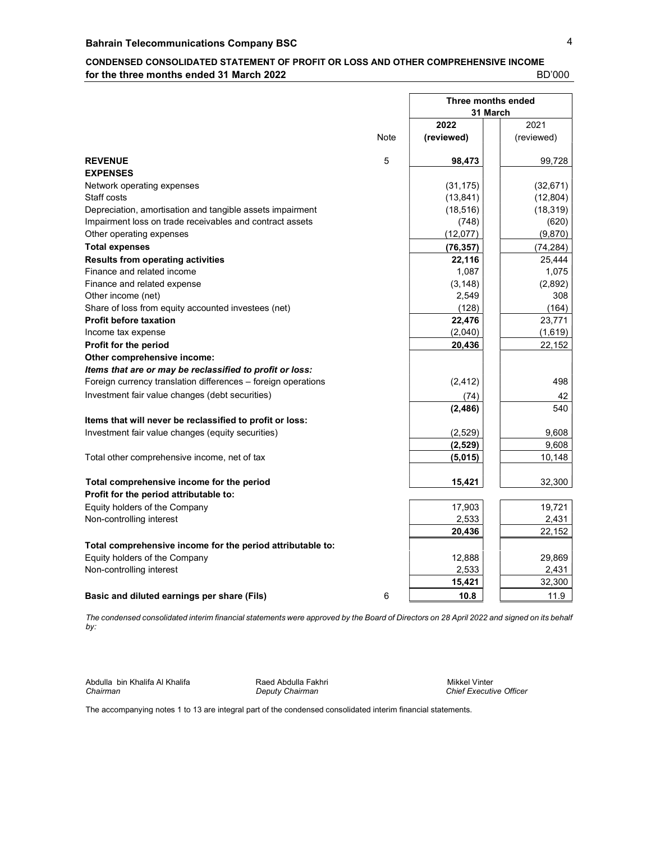## CONDENSED CONSOLIDATED STATEMENT OF PROFIT OR LOSS AND OTHER COMPREHENSIVE INCOME for the three months ended 31 March 2022 **BD'000** BD'000

|                                                               |      | Three months ended |            |  |
|---------------------------------------------------------------|------|--------------------|------------|--|
|                                                               |      | 31 March           |            |  |
|                                                               |      | 2022               | 2021       |  |
|                                                               | Note | (reviewed)         | (reviewed) |  |
| <b>REVENUE</b>                                                | 5    | 98,473             | 99,728     |  |
| <b>EXPENSES</b>                                               |      |                    |            |  |
| Network operating expenses                                    |      | (31, 175)          | (32, 671)  |  |
| Staff costs                                                   |      | (13, 841)          | (12, 804)  |  |
| Depreciation, amortisation and tangible assets impairment     |      | (18, 516)          | (18, 319)  |  |
| Impairment loss on trade receivables and contract assets      |      | (748)              | (620)      |  |
| Other operating expenses                                      |      | (12,077)           | (9,870)    |  |
| <b>Total expenses</b>                                         |      | (76, 357)          | (74, 284)  |  |
| <b>Results from operating activities</b>                      |      | 22,116             | 25,444     |  |
| Finance and related income                                    |      | 1,087              | 1,075      |  |
| Finance and related expense                                   |      | (3, 148)           | (2,892)    |  |
| Other income (net)                                            |      | 2,549              | 308        |  |
| Share of loss from equity accounted investees (net)           |      | (128)              | (164)      |  |
| <b>Profit before taxation</b>                                 |      | 22,476             | 23,771     |  |
| Income tax expense                                            |      | (2,040)            | (1,619)    |  |
| Profit for the period                                         |      | 20,436             | 22,152     |  |
| Other comprehensive income:                                   |      |                    |            |  |
| Items that are or may be reclassified to profit or loss:      |      |                    |            |  |
| Foreign currency translation differences - foreign operations |      | (2, 412)           | 498        |  |
| Investment fair value changes (debt securities)               |      | (74)               | 42         |  |
|                                                               |      | (2, 486)           | 540        |  |
| Items that will never be reclassified to profit or loss:      |      |                    |            |  |
| Investment fair value changes (equity securities)             |      | (2,529)            | 9,608      |  |
|                                                               |      | (2, 529)           | 9,608      |  |
| Total other comprehensive income, net of tax                  |      | (5,015)            | 10,148     |  |
| Total comprehensive income for the period                     |      | 15,421             | 32,300     |  |
| Profit for the period attributable to:                        |      |                    |            |  |
| Equity holders of the Company                                 |      | 17,903             | 19,721     |  |
| Non-controlling interest                                      |      | 2,533              | 2,431      |  |
|                                                               |      | 20,436             | 22,152     |  |
| Total comprehensive income for the period attributable to:    |      |                    |            |  |
| Equity holders of the Company                                 |      | 12,888             | 29,869     |  |
| Non-controlling interest                                      |      | 2,533              | 2,431      |  |
|                                                               |      | 15,421             | 32,300     |  |
|                                                               | 6    | 10.8               |            |  |
| Basic and diluted earnings per share (Fils)                   |      |                    | 11.9       |  |

The condensed consolidated interim financial statements were approved by the Board of Directors on 28 April 2022 and signed on its behalf by:

Abdulla bin Khalifa Al Khalifa **Alice Abdulla Fakhri Abdulla Fakhri** Mikkel Vinter Chairman Mikkel Vinter Chairman

Chief Executive Officer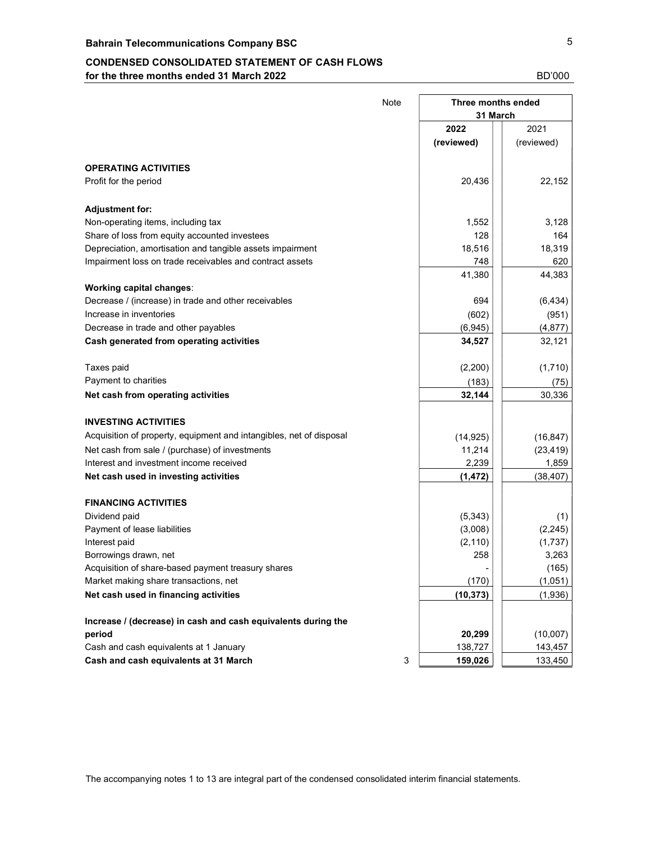## CONDENSED CONSOLIDATED STATEMENT OF CASH FLOWS for the three months ended 31 March 2022 **BD'000** BD'000

|                                                                     | <b>Note</b> | Three months ended |            |  |
|---------------------------------------------------------------------|-------------|--------------------|------------|--|
|                                                                     |             | 31 March           |            |  |
|                                                                     |             | 2022               | 2021       |  |
|                                                                     |             | (reviewed)         | (reviewed) |  |
| <b>OPERATING ACTIVITIES</b>                                         |             |                    |            |  |
| Profit for the period                                               |             | 20,436             | 22,152     |  |
| <b>Adjustment for:</b>                                              |             |                    |            |  |
| Non-operating items, including tax                                  |             | 1,552              | 3,128      |  |
| Share of loss from equity accounted investees                       |             | 128                | 164        |  |
| Depreciation, amortisation and tangible assets impairment           |             | 18,516             | 18,319     |  |
| Impairment loss on trade receivables and contract assets            |             | 748                | 620        |  |
|                                                                     |             | 41,380             | 44,383     |  |
| Working capital changes:                                            |             |                    |            |  |
| Decrease / (increase) in trade and other receivables                |             | 694                | (6, 434)   |  |
| Increase in inventories                                             |             | (602)              | (951)      |  |
| Decrease in trade and other payables                                |             | (6, 945)           | (4, 877)   |  |
| Cash generated from operating activities                            |             | 34,527             | 32,121     |  |
| Taxes paid                                                          |             | (2,200)            | (1,710)    |  |
| Payment to charities                                                |             | (183)              | (75)       |  |
| Net cash from operating activities                                  |             | 32,144             | 30,336     |  |
| <b>INVESTING ACTIVITIES</b>                                         |             |                    |            |  |
| Acquisition of property, equipment and intangibles, net of disposal |             | (14, 925)          | (16, 847)  |  |
| Net cash from sale / (purchase) of investments                      |             | 11,214             | (23, 419)  |  |
| Interest and investment income received                             |             | 2,239              | 1,859      |  |
| Net cash used in investing activities                               |             | (1, 472)           | (38, 407)  |  |
| <b>FINANCING ACTIVITIES</b>                                         |             |                    |            |  |
| Dividend paid                                                       |             | (5, 343)           | (1)        |  |
| Payment of lease liabilities                                        |             | (3,008)            | (2, 245)   |  |
| Interest paid                                                       |             | (2, 110)           | (1,737)    |  |
| Borrowings drawn, net                                               |             | 258                | 3,263      |  |
| Acquisition of share-based payment treasury shares                  |             | ۰                  | (165)      |  |
| Market making share transactions, net                               |             | (170)              | (1,051)    |  |
| Net cash used in financing activities                               |             | (10, 373)          | (1,936)    |  |
| Increase / (decrease) in cash and cash equivalents during the       |             |                    |            |  |
| period                                                              |             | 20,299             | (10,007)   |  |
| Cash and cash equivalents at 1 January                              |             | 138,727            | 143,457    |  |
| Cash and cash equivalents at 31 March                               | 3           | 159,026            | 133,450    |  |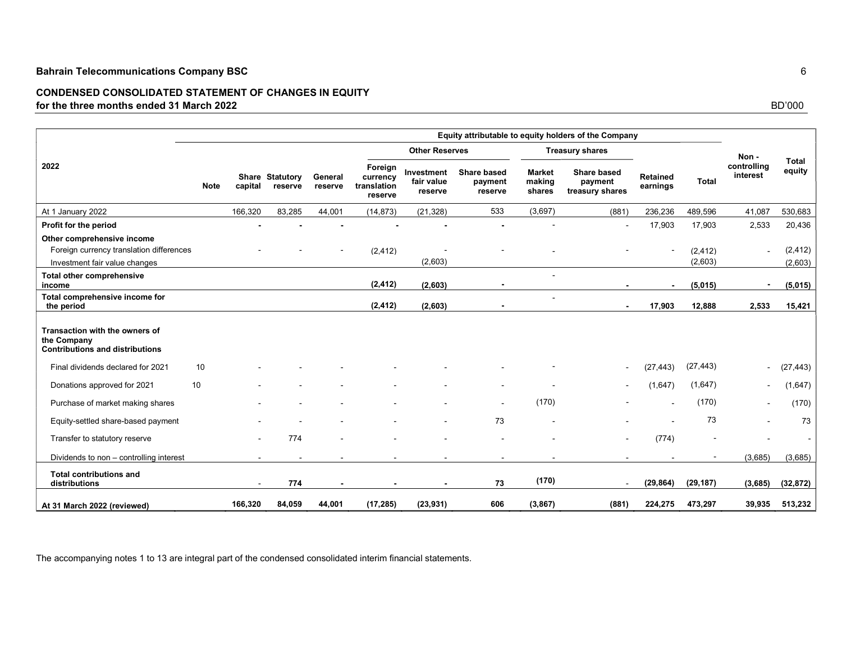## CONDENSED CONSOLIDATED STATEMENT OF CHANGES IN EQUITY for the three months ended 31 March 2022 BD'000

|                                                                                                         |                        | Equity attributable to equity holders of the Company |                    |                                               |                                     |                                          |                                   |                                                  |                             |                     |                                 |                        |
|---------------------------------------------------------------------------------------------------------|------------------------|------------------------------------------------------|--------------------|-----------------------------------------------|-------------------------------------|------------------------------------------|-----------------------------------|--------------------------------------------------|-----------------------------|---------------------|---------------------------------|------------------------|
|                                                                                                         |                        |                                                      |                    |                                               | <b>Other Reserves</b>               |                                          |                                   | <b>Treasury shares</b>                           |                             |                     |                                 |                        |
| 2022                                                                                                    | <b>Note</b><br>capital | Share Statutory<br>reserve                           | General<br>reserve | Foreign<br>currency<br>translation<br>reserve | Investment<br>fair value<br>reserve | <b>Share based</b><br>payment<br>reserve | <b>Market</b><br>making<br>shares | <b>Share based</b><br>payment<br>treasury shares | <b>Retained</b><br>earnings | <b>Total</b>        | Non-<br>controlling<br>interest | <b>Total</b><br>equity |
| At 1 January 2022                                                                                       | 166,320                | 83,285                                               | 44,001             | (14, 873)                                     | (21, 328)                           | 533                                      | (3,697)                           | (881)                                            | 236,236                     | 489,596             | 41,087                          | 530,683                |
| Profit for the period                                                                                   |                        |                                                      |                    |                                               |                                     |                                          |                                   |                                                  | 17,903                      | 17,903              | 2,533                           | 20,436                 |
| Other comprehensive income<br>Foreign currency translation differences<br>Investment fair value changes |                        |                                                      |                    | (2, 412)                                      | (2,603)                             |                                          |                                   |                                                  |                             | (2, 412)<br>(2,603) |                                 | (2, 412)<br>(2,603)    |
| <b>Total other comprehensive</b><br>income                                                              |                        |                                                      |                    | (2, 412)                                      | (2,603)                             |                                          |                                   |                                                  |                             | (5,015)             |                                 | (5,015)                |
| Total comprehensive income for<br>the period                                                            |                        |                                                      |                    | (2, 412)                                      | (2,603)                             |                                          |                                   | $\blacksquare$                                   | 17,903                      | 12,888              | 2,533                           | 15,421                 |
| Transaction with the owners of<br>the Company<br><b>Contributions and distributions</b>                 |                        |                                                      |                    |                                               |                                     |                                          |                                   |                                                  |                             |                     |                                 |                        |
| 10<br>Final dividends declared for 2021                                                                 |                        |                                                      |                    |                                               |                                     |                                          |                                   | $\overline{\phantom{a}}$                         | (27, 443)                   | (27, 443)           | $\blacksquare$                  | (27, 443)              |
| 10<br>Donations approved for 2021                                                                       |                        |                                                      |                    |                                               |                                     |                                          |                                   |                                                  | (1,647)                     | (1,647)             | ٠                               | (1,647)                |
| Purchase of market making shares                                                                        |                        |                                                      |                    |                                               |                                     |                                          | (170)                             |                                                  |                             | (170)               |                                 | (170)                  |
| Equity-settled share-based payment                                                                      |                        |                                                      |                    |                                               |                                     | 73                                       |                                   |                                                  |                             | 73                  |                                 | 73                     |
| Transfer to statutory reserve                                                                           |                        | 774                                                  |                    |                                               |                                     |                                          |                                   |                                                  | (774)                       |                     |                                 |                        |
| Dividends to non - controlling interest                                                                 |                        | $\overline{\phantom{a}}$                             |                    | $\blacksquare$                                |                                     |                                          |                                   |                                                  |                             |                     | (3,685)                         | (3,685)                |
| <b>Total contributions and</b><br>distributions                                                         |                        | 774                                                  |                    |                                               |                                     | 73                                       | (170)                             | $\overline{\phantom{a}}$                         | (29, 864)                   | (29, 187)           | (3,685)                         | (32, 872)              |
| At 31 March 2022 (reviewed)                                                                             | 166,320                | 84,059                                               | 44,001             | (17, 285)                                     | (23, 931)                           | 606                                      | (3, 867)                          | (881)                                            | 224,275                     | 473,297             | 39,935                          | 513,232                |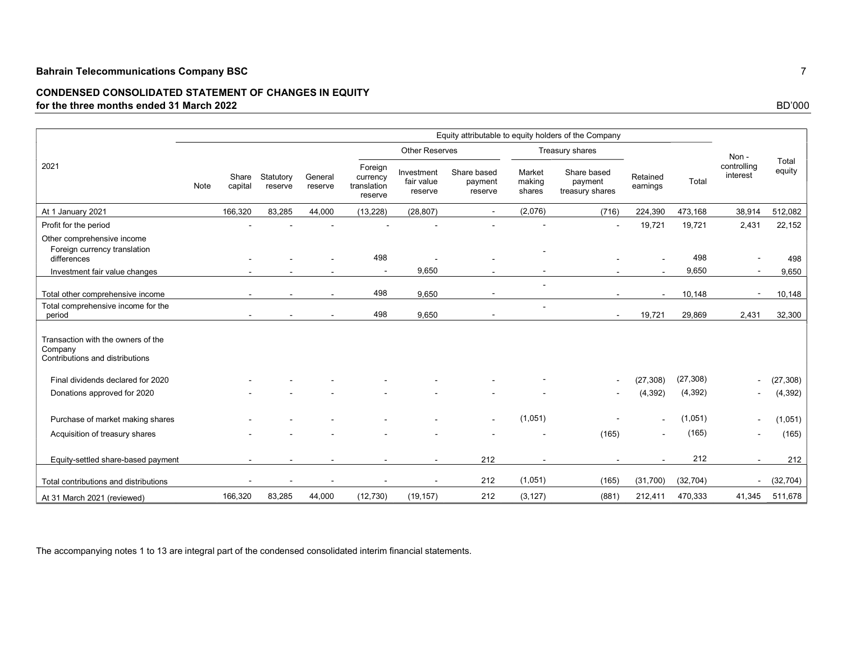## CONDENSED CONSOLIDATED STATEMENT OF CHANGES IN EQUITY for the three months ended 31 March 2022 BD'000

|                                                                                  |      |                  |                      |                    |                                               |                                     |                                   |                            | Equity attributable to equity holders of the Company |                      |           |                         |                 |
|----------------------------------------------------------------------------------|------|------------------|----------------------|--------------------|-----------------------------------------------|-------------------------------------|-----------------------------------|----------------------------|------------------------------------------------------|----------------------|-----------|-------------------------|-----------------|
|                                                                                  |      |                  |                      |                    |                                               | <b>Other Reserves</b>               |                                   |                            | Treasury shares                                      |                      |           | Non-                    |                 |
| 2021                                                                             | Note | Share<br>capital | Statutory<br>reserve | General<br>reserve | Foreign<br>currency<br>translation<br>reserve | Investment<br>fair value<br>reserve | Share based<br>payment<br>reserve | Market<br>making<br>shares | Share based<br>payment<br>treasury shares            | Retained<br>earnings | Total     | controlling<br>interest | Total<br>equity |
| At 1 January 2021                                                                |      | 166,320          | 83.285               | 44,000             | (13, 228)                                     | (28, 807)                           | $\sim$                            | (2,076)                    | (716)                                                | 224,390              | 473,168   | 38,914                  | 512,082         |
| Profit for the period                                                            |      |                  |                      |                    |                                               |                                     |                                   |                            | $\blacksquare$                                       | 19,721               | 19,721    | 2,431                   | 22,152          |
| Other comprehensive income                                                       |      |                  |                      |                    |                                               |                                     |                                   |                            |                                                      |                      |           |                         |                 |
| Foreign currency translation<br>differences                                      |      |                  |                      |                    | 498                                           |                                     |                                   |                            |                                                      |                      | 498       |                         | 498             |
| Investment fair value changes                                                    |      |                  |                      |                    |                                               | 9,650                               |                                   |                            |                                                      |                      | 9,650     |                         | 9,650           |
| Total other comprehensive income                                                 |      |                  |                      |                    | 498                                           | 9,650                               | $\blacksquare$                    |                            |                                                      | $\sim$               | 10,148    |                         | 10,148          |
| Total comprehensive income for the<br>period                                     |      |                  |                      |                    | 498                                           | 9,650                               |                                   |                            | $\sim$                                               | 19,721               | 29,869    | 2,431                   | 32,300          |
| Transaction with the owners of the<br>Company<br>Contributions and distributions |      |                  |                      |                    |                                               |                                     |                                   |                            |                                                      |                      |           |                         |                 |
| Final dividends declared for 2020                                                |      |                  |                      |                    |                                               |                                     |                                   |                            | $\sim$                                               | (27, 308)            | (27, 308) |                         | (27, 308)       |
| Donations approved for 2020                                                      |      |                  |                      |                    |                                               |                                     |                                   |                            |                                                      | (4, 392)             | (4, 392)  |                         | (4, 392)        |
| Purchase of market making shares                                                 |      |                  |                      |                    |                                               |                                     |                                   | (1,051)                    |                                                      |                      | (1,051)   |                         | (1,051)         |
| Acquisition of treasury shares                                                   |      |                  |                      |                    |                                               |                                     |                                   |                            | (165)                                                |                      | (165)     |                         | (165)           |
| Equity-settled share-based payment                                               |      |                  |                      |                    |                                               |                                     | 212                               |                            |                                                      |                      | 212       |                         | 212             |
| Total contributions and distributions                                            |      |                  |                      |                    |                                               |                                     | 212                               | (1,051)                    | (165)                                                | (31,700)             | (32, 704) |                         | (32, 704)       |
| At 31 March 2021 (reviewed)                                                      |      | 166,320          | 83,285               | 44,000             | (12, 730)                                     | (19, 157)                           | 212                               | (3, 127)                   | (881)                                                | 212,411              | 470,333   | 41,345                  | 511,678         |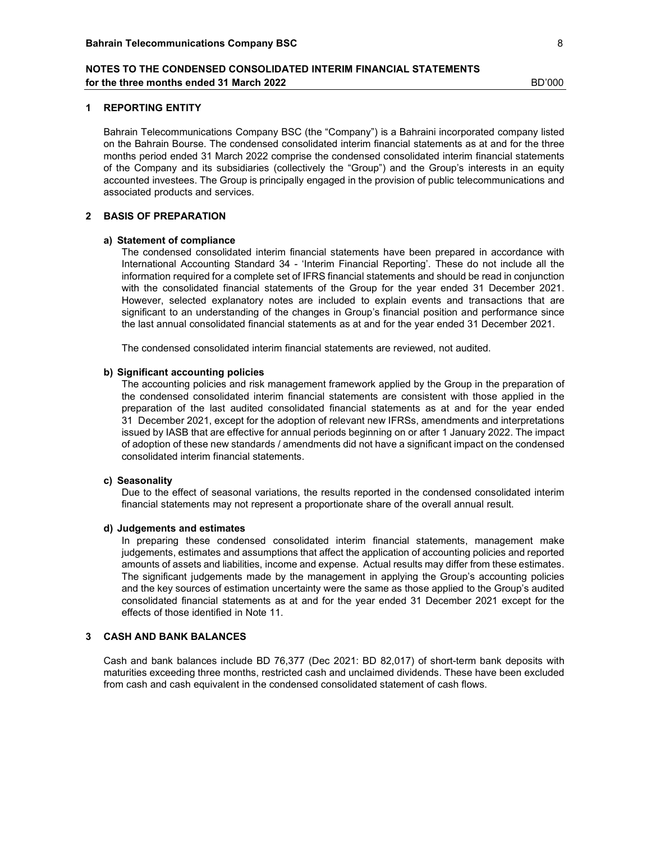#### 1 REPORTING ENTITY

Bahrain Telecommunications Company BSC (the "Company") is a Bahraini incorporated company listed on the Bahrain Bourse. The condensed consolidated interim financial statements as at and for the three months period ended 31 March 2022 comprise the condensed consolidated interim financial statements of the Company and its subsidiaries (collectively the "Group") and the Group's interests in an equity accounted investees. The Group is principally engaged in the provision of public telecommunications and associated products and services.

## 2 BASIS OF PREPARATION

#### a) Statement of compliance

The condensed consolidated interim financial statements have been prepared in accordance with International Accounting Standard 34 - 'Interim Financial Reporting'. These do not include all the information required for a complete set of IFRS financial statements and should be read in conjunction with the consolidated financial statements of the Group for the year ended 31 December 2021. However, selected explanatory notes are included to explain events and transactions that are significant to an understanding of the changes in Group's financial position and performance since the last annual consolidated financial statements as at and for the year ended 31 December 2021.

The condensed consolidated interim financial statements are reviewed, not audited.

#### b) Significant accounting policies

The accounting policies and risk management framework applied by the Group in the preparation of the condensed consolidated interim financial statements are consistent with those applied in the preparation of the last audited consolidated financial statements as at and for the year ended 311December 2021, except for the adoption of relevant new IFRSs, amendments and interpretations issued by IASB that are effective for annual periods beginning on or after 1 January 2022. The impact of adoption of these new standards / amendments did not have a significant impact on the condensed consolidated interim financial statements.

## c) Seasonality

Due to the effect of seasonal variations, the results reported in the condensed consolidated interim financial statements may not represent a proportionate share of the overall annual result.

#### d) Judgements and estimates

In preparing these condensed consolidated interim financial statements, management make judgements, estimates and assumptions that affect the application of accounting policies and reported amounts of assets and liabilities, income and expense. Actual results may differ from these estimates. The significant judgements made by the management in applying the Group's accounting policies and the key sources of estimation uncertainty were the same as those applied to the Group's audited consolidated financial statements as at and for the year ended 31 December 2021 except for the effects of those identified in Note 11.

### 3 CASH AND BANK BALANCES

Cash and bank balances include BD 76,377 (Dec 2021: BD 82,017) of short-term bank deposits with maturities exceeding three months, restricted cash and unclaimed dividends. These have been excluded from cash and cash equivalent in the condensed consolidated statement of cash flows.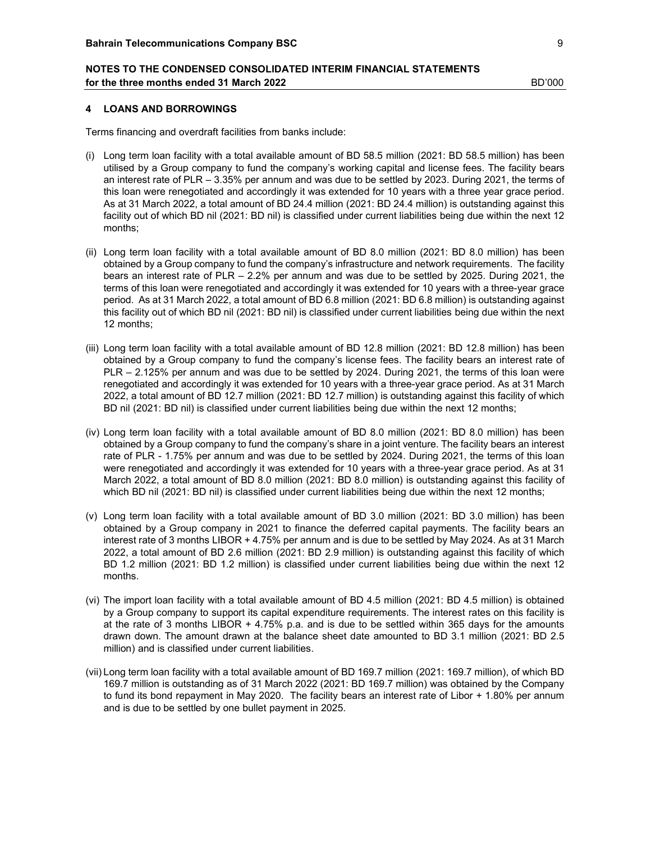#### 4 LOANS AND BORROWINGS

Terms financing and overdraft facilities from banks include:

- (i) Long term loan facility with a total available amount of BD 58.5 million (2021: BD 58.5 million) has been utilised by a Group company to fund the company's working capital and license fees. The facility bears an interest rate of PLR – 3.35% per annum and was due to be settled by 2023. During 2021, the terms of this loan were renegotiated and accordingly it was extended for 10 years with a three year grace period. As at 31 March 2022, a total amount of BD 24.4 million (2021: BD 24.4 million) is outstanding against this facility out of which BD nil (2021: BD nil) is classified under current liabilities being due within the next 12 months;
- (ii) Long term loan facility with a total available amount of BD 8.0 million (2021: BD 8.0 million) has been obtained by a Group company to fund the company's infrastructure and network requirements. The facility bears an interest rate of PLR – 2.2% per annum and was due to be settled by 2025. During 2021, the terms of this loan were renegotiated and accordingly it was extended for 10 years with a three-year grace period. As at 31 March 2022, a total amount of BD 6.8 million (2021: BD 6.8 million) is outstanding against this facility out of which BD nil (2021: BD nil) is classified under current liabilities being due within the next 12 months;
- (iii) Long term loan facility with a total available amount of BD 12.8 million (2021: BD 12.8 million) has been obtained by a Group company to fund the company's license fees. The facility bears an interest rate of PLR – 2.125% per annum and was due to be settled by 2024. During 2021, the terms of this loan were renegotiated and accordingly it was extended for 10 years with a three-year grace period. As at 31 March 2022, a total amount of BD 12.7 million (2021: BD 12.7 million) is outstanding against this facility of which BD nil (2021: BD nil) is classified under current liabilities being due within the next 12 months;
- (iv) Long term loan facility with a total available amount of BD 8.0 million (2021: BD 8.0 million) has been obtained by a Group company to fund the company's share in a joint venture. The facility bears an interest rate of PLR - 1.75% per annum and was due to be settled by 2024. During 2021, the terms of this loan were renegotiated and accordingly it was extended for 10 years with a three-year grace period. As at 31 March 2022, a total amount of BD 8.0 million (2021: BD 8.0 million) is outstanding against this facility of which BD nil (2021: BD nil) is classified under current liabilities being due within the next 12 months;
- (v) Long term loan facility with a total available amount of BD 3.0 million (2021: BD 3.0 million) has been obtained by a Group company in 2021 to finance the deferred capital payments. The facility bears an interest rate of 3 months LIBOR + 4.75% per annum and is due to be settled by May 2024. As at 31 March 2022, a total amount of BD 2.6 million (2021: BD 2.9 million) is outstanding against this facility of which BD 1.2 million (2021: BD 1.2 million) is classified under current liabilities being due within the next 12 months.
- (vi) The import loan facility with a total available amount of BD 4.5 million (2021: BD 4.5 million) is obtained by a Group company to support its capital expenditure requirements. The interest rates on this facility is at the rate of 3 months LIBOR + 4.75% p.a. and is due to be settled within 365 days for the amounts drawn down. The amount drawn at the balance sheet date amounted to BD 3.1 million (2021: BD 2.5 million) and is classified under current liabilities.
- (vii) Long term loan facility with a total available amount of BD 169.7 million (2021: 169.7 million), of which BD 169.7 million is outstanding as of 31 March 2022 (2021: BD 169.7 million) was obtained by the Company to fund its bond repayment in May 2020. The facility bears an interest rate of Libor + 1.80% per annum and is due to be settled by one bullet payment in 2025.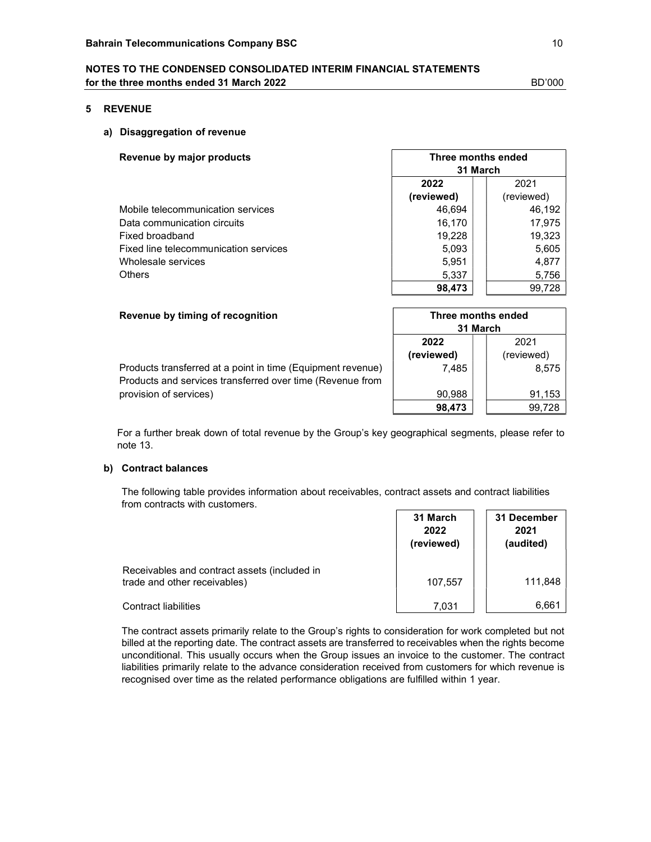### 5 REVENUE

## a) Disaggregation of revenue

| Revenue by major products             |            | Three months ended |  |  |  |  |
|---------------------------------------|------------|--------------------|--|--|--|--|
|                                       | 31 March   |                    |  |  |  |  |
|                                       | 2022       | 2021               |  |  |  |  |
|                                       | (reviewed) | (reviewed)         |  |  |  |  |
| Mobile telecommunication services     | 46,694     | 46,192             |  |  |  |  |
| Data communication circuits           | 16,170     | 17,975             |  |  |  |  |
| Fixed broadband                       | 19,228     | 19,323             |  |  |  |  |
| Fixed line telecommunication services | 5,093      | 5,605              |  |  |  |  |
| Wholesale services                    | 5,951      | 4,877              |  |  |  |  |
| <b>Others</b>                         | 5,337      | 5,756              |  |  |  |  |
|                                       | 98.473     | 99.728             |  |  |  |  |

| Revenue by timing of recognition                                                                                         | Three months ended<br>31 March |                    |
|--------------------------------------------------------------------------------------------------------------------------|--------------------------------|--------------------|
|                                                                                                                          | 2022<br>(reviewed)             | 2021<br>(reviewed) |
| Products transferred at a point in time (Equipment revenue)<br>Products and services transferred over time (Revenue from | 7.485                          | 8,575              |
| provision of services)                                                                                                   | 90,988                         | 91,153             |
|                                                                                                                          | 98,473                         | 99.728             |

For a further break down of total revenue by the Group's key geographical segments, please refer to note 13.

## b) Contract balances

The following table provides information about receivables, contract assets and contract liabilities from contracts with customers.

|                                                                              | 31 March<br>2022<br>(reviewed) | 31 December<br>2021<br>(audited) |
|------------------------------------------------------------------------------|--------------------------------|----------------------------------|
| Receivables and contract assets (included in<br>trade and other receivables) | 107,557                        | 111,848                          |
| <b>Contract liabilities</b>                                                  | 7.031                          | 6,661                            |

The contract assets primarily relate to the Group's rights to consideration for work completed but not billed at the reporting date. The contract assets are transferred to receivables when the rights become unconditional. This usually occurs when the Group issues an invoice to the customer. The contract liabilities primarily relate to the advance consideration received from customers for which revenue is recognised over time as the related performance obligations are fulfilled within 1 year.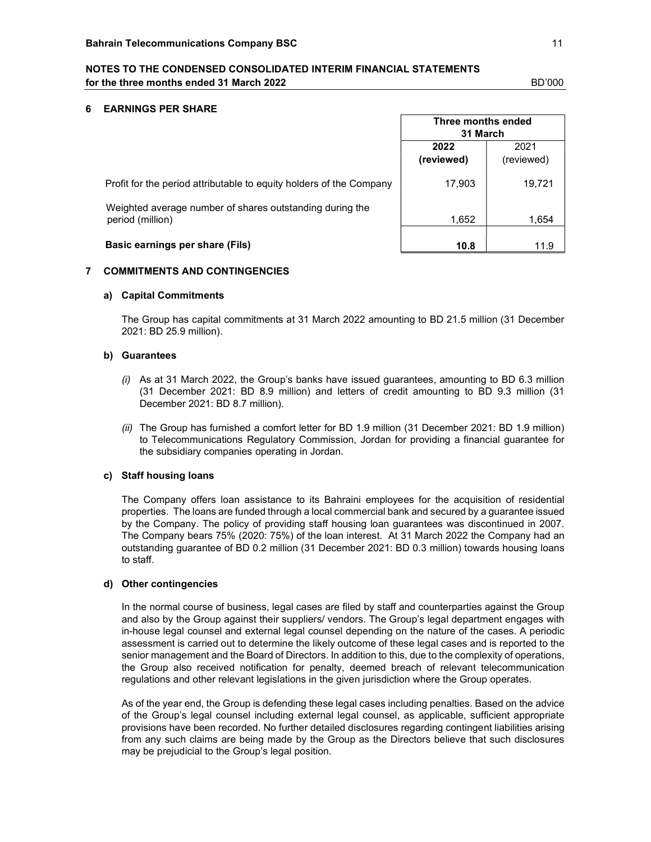#### 6 EARNINGS PER SHARE

|                                                                              | Three months ended<br>31 March |                    |
|------------------------------------------------------------------------------|--------------------------------|--------------------|
|                                                                              | 2022<br>(reviewed)             | 2021<br>(reviewed) |
| Profit for the period attributable to equity holders of the Company          | 17,903                         | 19,721             |
| Weighted average number of shares outstanding during the<br>period (million) | 1,652                          | 1,654              |
| Basic earnings per share (Fils)                                              | 10.8                           | 11.9               |

## 7 COMMITMENTS AND CONTINGENCIES

#### a) Capital Commitments

The Group has capital commitments at 31 March 2022 amounting to BD 21.5 million (31 December 2021: BD 25.9 million).

#### b) Guarantees

- (i) As at 31 March 2022, the Group's banks have issued guarantees, amounting to BD 6.3 million (31 December 2021: BD 8.9 million) and letters of credit amounting to BD 9.3 million (31 December 2021: BD 8.7 million).
- (ii) The Group has furnished a comfort letter for BD 1.9 million (31 December 2021: BD 1.9 million) to Telecommunications Regulatory Commission, Jordan for providing a financial guarantee for the subsidiary companies operating in Jordan.

### c) Staff housing loans

The Company offers loan assistance to its Bahraini employees for the acquisition of residential properties. The loans are funded through a local commercial bank and secured by a guarantee issued by the Company. The policy of providing staff housing loan guarantees was discontinued in 2007. The Company bears 75% (2020: 75%) of the loan interest. At 31 March 2022 the Company had an outstanding guarantee of BD 0.2 million (31 December 2021: BD 0.3 million) towards housing loans to staff.

## d) Other contingencies

In the normal course of business, legal cases are filed by staff and counterparties against the Group and also by the Group against their suppliers/ vendors. The Group's legal department engages with in-house legal counsel and external legal counsel depending on the nature of the cases. A periodic assessment is carried out to determine the likely outcome of these legal cases and is reported to the senior management and the Board of Directors. In addition to this, due to the complexity of operations, the Group also received notification for penalty, deemed breach of relevant telecommunication regulations and other relevant legislations in the given jurisdiction where the Group operates.

As of the year end, the Group is defending these legal cases including penalties. Based on the advice of the Group's legal counsel including external legal counsel, as applicable, sufficient appropriate provisions have been recorded. No further detailed disclosures regarding contingent liabilities arising from any such claims are being made by the Group as the Directors believe that such disclosures may be prejudicial to the Group's legal position.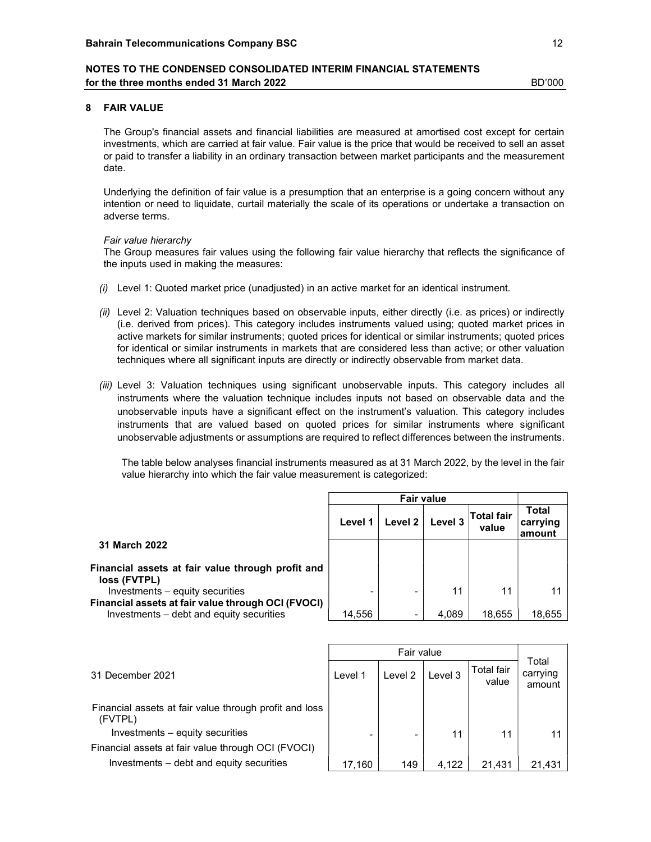## 8 FAIR VALUE

The Group's financial assets and financial liabilities are measured at amortised cost except for certain investments, which are carried at fair value. Fair value is the price that would be received to sell an asset or paid to transfer a liability in an ordinary transaction between market participants and the measurement date.

Underlying the definition of fair value is a presumption that an enterprise is a going concern without any intention or need to liquidate, curtail materially the scale of its operations or undertake a transaction on adverse terms.

#### Fair value hierarchy

The Group measures fair values using the following fair value hierarchy that reflects the significance of the inputs used in making the measures:

- $(i)$  Level 1: Quoted market price (unadjusted) in an active market for an identical instrument.
- (ii) Level 2: Valuation techniques based on observable inputs, either directly (i.e. as prices) or indirectly (i.e. derived from prices). This category includes instruments valued using; quoted market prices in active markets for similar instruments; quoted prices for identical or similar instruments; quoted prices for identical or similar instruments in markets that are considered less than active; or other valuation techniques where all significant inputs are directly or indirectly observable from market data.
- (iii) Level 3: Valuation techniques using significant unobservable inputs. This category includes all instruments where the valuation technique includes inputs not based on observable data and the unobservable inputs have a significant effect on the instrument's valuation. This category includes instruments that are valued based on quoted prices for similar instruments where significant unobservable adjustments or assumptions are required to reflect differences between the instruments.

The table below analyses financial instruments measured as at 31 March 2022, by the level in the fair value hierarchy into which the fair value measurement is categorized:

|                                                                   | Level 1 | Level 2 | Level 3 | ∣Total fair<br>value | Total<br>carrying<br>amount |  |
|-------------------------------------------------------------------|---------|---------|---------|----------------------|-----------------------------|--|
| 31 March 2022                                                     |         |         |         |                      |                             |  |
| Financial assets at fair value through profit and<br>loss (FVTPL) |         |         |         |                      |                             |  |
| Investments – equity securities                                   |         |         | 11      | 11                   |                             |  |
| Financial assets at fair value through OCI (FVOCI)                |         |         |         |                      |                             |  |
| Investments - debt and equity securities                          | 14,556  |         | 4.089   | 18,655               | 18,655                      |  |
|                                                                   |         |         |         |                      |                             |  |

| 31 December 2021                                                  | Level 1 | Level 2 | Level 3 | Total fair<br>value | Total<br>carrying<br>amount |
|-------------------------------------------------------------------|---------|---------|---------|---------------------|-----------------------------|
| Financial assets at fair value through profit and loss<br>(FVTPL) |         |         |         |                     |                             |
| Investments – equity securities                                   |         |         | 11      | 11                  |                             |
| Financial assets at fair value through OCI (FVOCI)                |         |         |         |                     |                             |
| Investments – debt and equity securities                          | 17,160  | 149     | 4.122   | 21,431              | 21,431                      |
|                                                                   |         |         |         |                     |                             |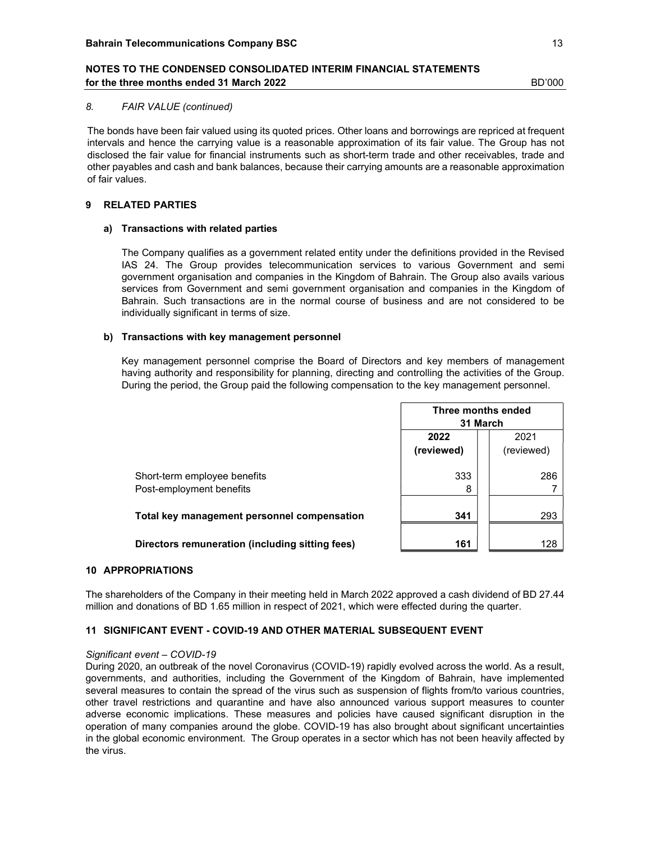#### 8. FAIR VALUE (continued)

The bonds have been fair valued using its quoted prices. Other loans and borrowings are repriced at frequent intervals and hence the carrying value is a reasonable approximation of its fair value. The Group has not disclosed the fair value for financial instruments such as short-term trade and other receivables, trade and other payables and cash and bank balances, because their carrying amounts are a reasonable approximation of fair values.

## 9 RELATED PARTIES

### a) Transactions with related parties

 The Company qualifies as a government related entity under the definitions provided in the Revised IAS 24. The Group provides telecommunication services to various Government and semi government organisation and companies in the Kingdom of Bahrain. The Group also avails various services from Government and semi government organisation and companies in the Kingdom of Bahrain. Such transactions are in the normal course of business and are not considered to be individually significant in terms of size.

#### b) Transactions with key management personnel

 Key management personnel comprise the Board of Directors and key members of management having authority and responsibility for planning, directing and controlling the activities of the Group. During the period, the Group paid the following compensation to the key management personnel.

|                                                          | Three months ended<br>31 March           |     |  |  |  |  |
|----------------------------------------------------------|------------------------------------------|-----|--|--|--|--|
|                                                          | 2022<br>2021<br>(reviewed)<br>(reviewed) |     |  |  |  |  |
| Short-term employee benefits<br>Post-employment benefits | 333<br>8                                 | 286 |  |  |  |  |
| Total key management personnel compensation              | 341                                      | 293 |  |  |  |  |
| Directors remuneration (including sitting fees)          | 161                                      | 128 |  |  |  |  |

#### 10 APPROPRIATIONS

The shareholders of the Company in their meeting held in March 2022 approved a cash dividend of BD 27.44 million and donations of BD 1.65 million in respect of 2021, which were effected during the quarter.

## 11 SIGNIFICANT EVENT - COVID-19 AND OTHER MATERIAL SUBSEQUENT EVENT

#### Significant event - COVID-19

During 2020, an outbreak of the novel Coronavirus (COVID-19) rapidly evolved across the world. As a result, governments, and authorities, including the Government of the Kingdom of Bahrain, have implemented several measures to contain the spread of the virus such as suspension of flights from/to various countries, other travel restrictions and quarantine and have also announced various support measures to counter adverse economic implications. These measures and policies have caused significant disruption in the operation of many companies around the globe. COVID-19 has also brought about significant uncertainties in the global economic environment. The Group operates in a sector which has not been heavily affected by the virus.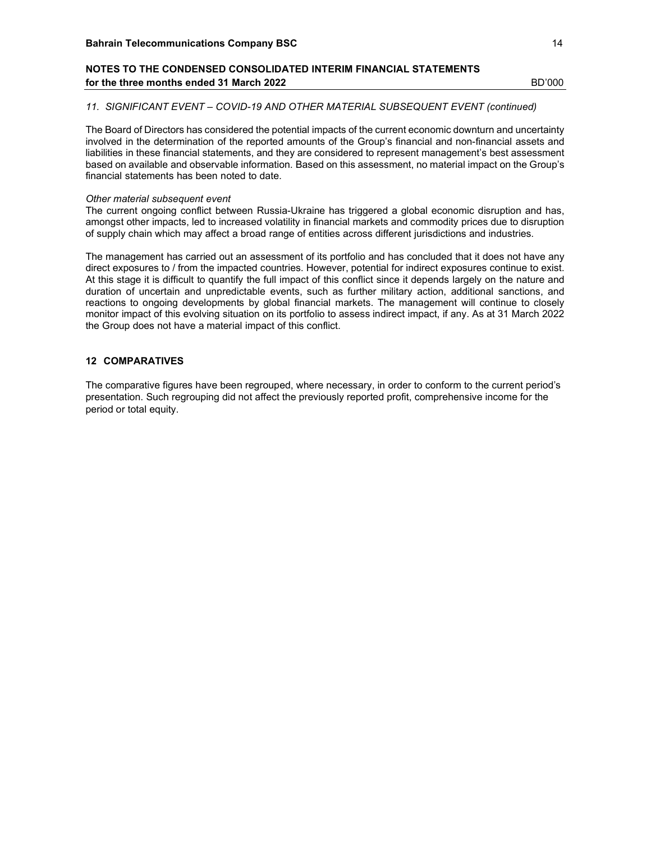#### 11. SIGNIFICANT EVENT – COVID-19 AND OTHER MATERIAL SUBSEQUENT EVENT (continued)

The Board of Directors has considered the potential impacts of the current economic downturn and uncertainty involved in the determination of the reported amounts of the Group's financial and non-financial assets and liabilities in these financial statements, and they are considered to represent management's best assessment based on available and observable information. Based on this assessment, no material impact on the Group's financial statements has been noted to date.

#### Other material subsequent event

The current ongoing conflict between Russia-Ukraine has triggered a global economic disruption and has, amongst other impacts, led to increased volatility in financial markets and commodity prices due to disruption of supply chain which may affect a broad range of entities across different jurisdictions and industries.

The management has carried out an assessment of its portfolio and has concluded that it does not have any direct exposures to / from the impacted countries. However, potential for indirect exposures continue to exist. At this stage it is difficult to quantify the full impact of this conflict since it depends largely on the nature and duration of uncertain and unpredictable events, such as further military action, additional sanctions, and reactions to ongoing developments by global financial markets. The management will continue to closely monitor impact of this evolving situation on its portfolio to assess indirect impact, if any. As at 31 March 2022 the Group does not have a material impact of this conflict.

### 12 COMPARATIVES

The comparative figures have been regrouped, where necessary, in order to conform to the current period's presentation. Such regrouping did not affect the previously reported profit, comprehensive income for the period or total equity.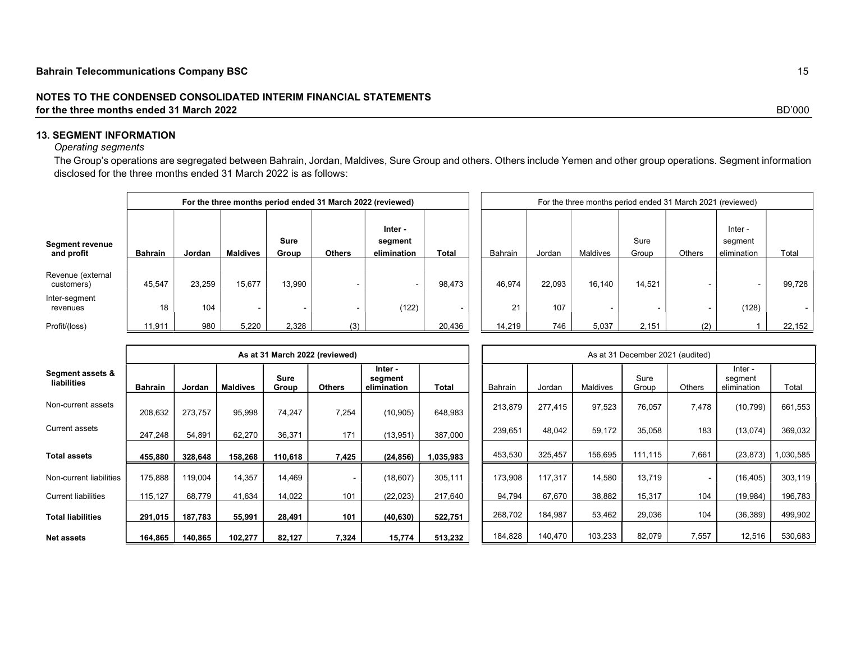## 13. SEGMENT INFORMATION

## Operating segments

The Group's operations are segregated between Bahrain, Jordan, Maldives, Sure Group and others. Others include Yemen and other group operations. Segment information disclosed for the three months ended 31 March 2022 is as follows:

|                                      |                |        |          |                      | For the three months period ended 31 March 2022 (reviewed) |                                   | For the three months period ended 31 March 2021 (reviewed) |         |        |          |               |               |                                   |        |  |
|--------------------------------------|----------------|--------|----------|----------------------|------------------------------------------------------------|-----------------------------------|------------------------------------------------------------|---------|--------|----------|---------------|---------------|-----------------------------------|--------|--|
| <b>Segment revenue</b><br>and profit | <b>Bahrain</b> | Jordan | Maldives | <b>Sure</b><br>Group | <b>Others</b>                                              | Inter -<br>segment<br>elimination | <b>Total</b>                                               | Bahrain | Jordan | Maldives | Sure<br>Group | <b>Others</b> | Inter -<br>segment<br>elimination | Total  |  |
| Revenue (external<br>customers)      | 45,547         | 23.259 | 15,677   | 13,990               | -                                                          |                                   | 98.473                                                     | 46.974  | 22.093 | 16.140   | 14,521        |               |                                   | 99,728 |  |
| Inter-segment<br>revenues            | 18             | 104    |          |                      | -                                                          | (122)                             | $\overline{\phantom{0}}$                                   | 21      | 107    |          |               |               | (128)                             |        |  |
| Profit/(loss)                        | 11,911         | 980    | 5,220    | 2,328                | (3)                                                        |                                   | 20,436                                                     | 14,219  | 746    | 5,037    | 2,151         | (2)           |                                   | 22,152 |  |

|                                 | As at 31 March 2022 (reviewed) |         |                 |                      |               |                                   |              |  | As at 31 December 2021 (audited) |         |          |               |                |                                   |          |  |
|---------------------------------|--------------------------------|---------|-----------------|----------------------|---------------|-----------------------------------|--------------|--|----------------------------------|---------|----------|---------------|----------------|-----------------------------------|----------|--|
| Segment assets &<br>liabilities | <b>Bahrain</b>                 | Jordan  | <b>Maldives</b> | <b>Sure</b><br>Group | <b>Others</b> | Inter -<br>segment<br>elimination | <b>Total</b> |  | Bahrain                          | Jordan  | Maldives | Sure<br>Group | Others         | Inter -<br>segment<br>elimination | Total    |  |
| Non-current assets              | 208,632                        | 273,757 | 95,998          | 74,247               | 7,254         | (10, 905)                         | 648,983      |  | 213,879                          | 277,415 | 97,523   | 76,057        | 7,478          | (10, 799)                         | 661,553  |  |
| Current assets                  | 247.248                        | 54,891  | 62.270          | 36,371               | 171           | (13,951)                          | 387,000      |  | 239,651                          | 48,042  | 59.172   | 35,058        | 183            | (13,074)                          | 369,032  |  |
| Total assets                    | 455,880                        | 328,648 | 158,268         | 110,618              | 7,425         | (24, 856)                         | 1,035,983    |  | 453,530                          | 325,457 | 156,695  | 111,115       | 7,661          | (23, 873)                         | ,030,585 |  |
| Non-current liabilities         | 175,888                        | 119,004 | 14,357          | 14,469               |               | (18, 607)                         | 305,111      |  | 173,908                          | 117,317 | 14,580   | 13,719        | $\blacksquare$ | (16, 405)                         | 303,119  |  |
| <b>Current liabilities</b>      | 115,127                        | 68,779  | 41,634          | 14,022               | 101           | (22, 023)                         | 217,640      |  | 94,794                           | 67,670  | 38,882   | 15,317        | 104            | (19, 984)                         | 196,783  |  |
| <b>Total liabilities</b>        | 291,015                        | 187,783 | 55,991          | 28,491               | 101           | (40, 630)                         | 522,751      |  | 268,702                          | 184,987 | 53,462   | 29,036        | 104            | (36, 389)                         | 499,902  |  |
| <b>Net assets</b>               | 164,865                        | 140,865 | 102,277         | 82,127               | 7,324         | 15,774                            | 513,232      |  | 184,828                          | 140,470 | 103,233  | 82,079        | 7,557          | 12,516                            | 530,683  |  |